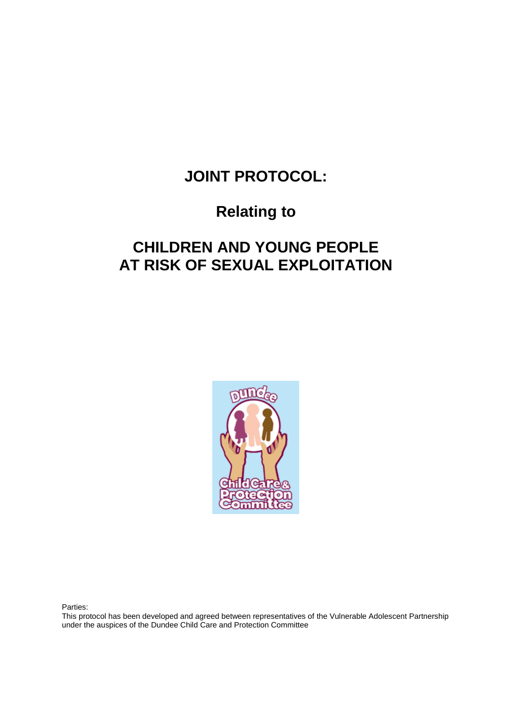# **JOINT PROTOCOL:**

# **Relating to**

# **CHILDREN AND YOUNG PEOPLE AT RISK OF SEXUAL EXPLOITATION**



Parties:

This protocol has been developed and agreed between representatives of the Vulnerable Adolescent Partnership under the auspices of the Dundee Child Care and Protection Committee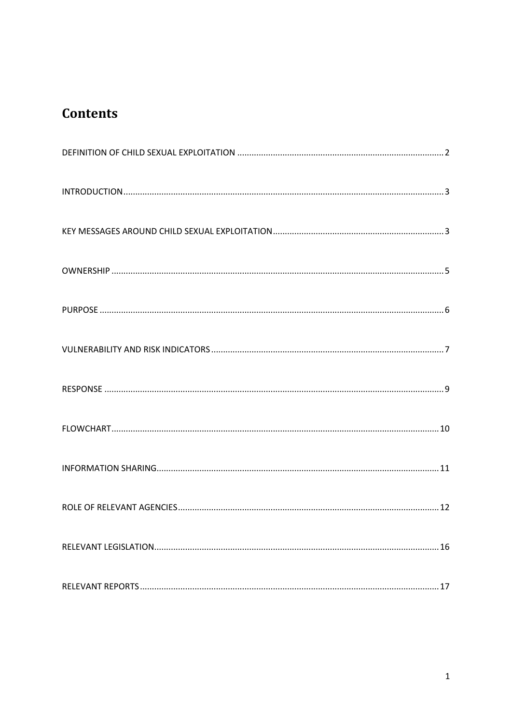# **Contents**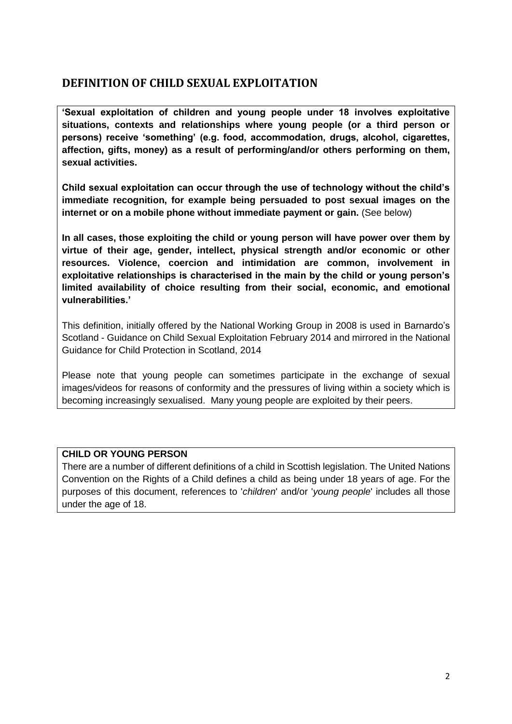## <span id="page-2-0"></span>**DEFINITION OF CHILD SEXUAL EXPLOITATION**

**'Sexual exploitation of children and young people under 18 involves exploitative situations, contexts and relationships where young people (or a third person or persons) receive 'something' (e.g. food, accommodation, drugs, alcohol, cigarettes, affection, gifts, money) as a result of performing/and/or others performing on them, sexual activities.**

**Child sexual exploitation can occur through the use of technology without the child's immediate recognition, for example being persuaded to post sexual images on the internet or on a mobile phone without immediate payment or gain.** (See below)

**In all cases, those exploiting the child or young person will have power over them by virtue of their age, gender, intellect, physical strength and/or economic or other resources. Violence, coercion and intimidation are common, involvement in exploitative relationships is characterised in the main by the child or young person's limited availability of choice resulting from their social, economic, and emotional vulnerabilities.'**

This definition, initially offered by the National Working Group in 2008 is used in Barnardo's Scotland - Guidance on Child Sexual Exploitation February 2014 and mirrored in the National Guidance for Child Protection in Scotland, 2014

Please note that young people can sometimes participate in the exchange of sexual images/videos for reasons of conformity and the pressures of living within a society which is becoming increasingly sexualised. Many young people are exploited by their peers.

## **CHILD OR YOUNG PERSON**

There are a number of different definitions of a child in Scottish legislation. The United Nations Convention on the Rights of a Child defines a child as being under 18 years of age. For the purposes of this document, references to '*children*' and/or '*young people*' includes all those under the age of 18.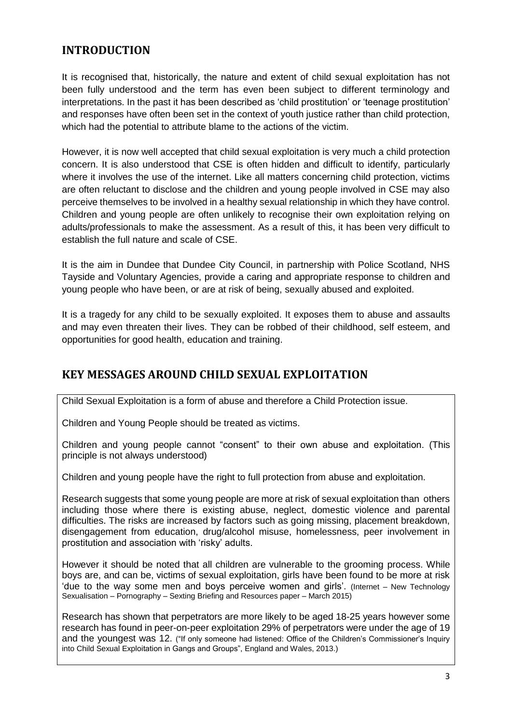## <span id="page-3-0"></span>**INTRODUCTION**

It is recognised that, historically, the nature and extent of child sexual exploitation has not been fully understood and the term has even been subject to different terminology and interpretations. In the past it has been described as 'child prostitution' or 'teenage prostitution' and responses have often been set in the context of youth justice rather than child protection, which had the potential to attribute blame to the actions of the victim.

However, it is now well accepted that child sexual exploitation is very much a child protection concern. It is also understood that CSE is often hidden and difficult to identify, particularly where it involves the use of the internet. Like all matters concerning child protection, victims are often reluctant to disclose and the children and young people involved in CSE may also perceive themselves to be involved in a healthy sexual relationship in which they have control. Children and young people are often unlikely to recognise their own exploitation relying on adults/professionals to make the assessment. As a result of this, it has been very difficult to establish the full nature and scale of CSE.

It is the aim in Dundee that Dundee City Council, in partnership with Police Scotland, NHS Tayside and Voluntary Agencies, provide a caring and appropriate response to children and young people who have been, or are at risk of being, sexually abused and exploited.

It is a tragedy for any child to be sexually exploited. It exposes them to abuse and assaults and may even threaten their lives. They can be robbed of their childhood, self esteem, and opportunities for good health, education and training.

## <span id="page-3-1"></span>**KEY MESSAGES AROUND CHILD SEXUAL EXPLOITATION**

Child Sexual Exploitation is a form of abuse and therefore a Child Protection issue.

Children and Young People should be treated as victims.

Children and young people cannot "consent" to their own abuse and exploitation. (This principle is not always understood)

Children and young people have the right to full protection from abuse and exploitation.

Research suggests that some young people are more at risk of sexual exploitation than others including those where there is existing abuse, neglect, domestic violence and parental difficulties. The risks are increased by factors such as going missing, placement breakdown, disengagement from education, drug/alcohol misuse, homelessness, peer involvement in prostitution and association with 'risky' adults.

However it should be noted that all children are vulnerable to the grooming process. While boys are, and can be, victims of sexual exploitation, girls have been found to be more at risk 'due to the way some men and boys perceive women and girls'. (Internet – New Technology Sexualisation – Pornography – Sexting Briefing and Resources paper – March 2015)

Research has shown that perpetrators are more likely to be aged 18-25 years however some research has found in peer-on-peer exploitation 29% of perpetrators were under the age of 19 and the youngest was 12. ("If only someone had listened: Office of the Children's Commissioner's Inquiry into Child Sexual Exploitation in Gangs and Groups", England and Wales, 2013.)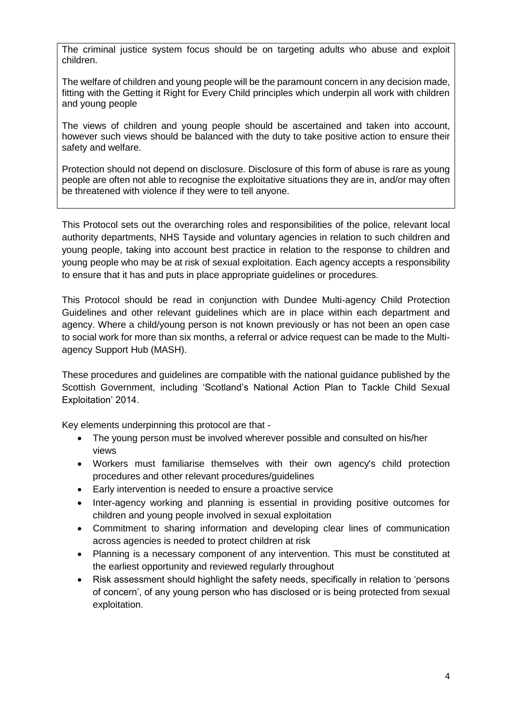The criminal justice system focus should be on targeting adults who abuse and exploit children.

The welfare of children and young people will be the paramount concern in any decision made, fitting with the Getting it Right for Every Child principles which underpin all work with children and young people

The views of children and young people should be ascertained and taken into account, however such views should be balanced with the duty to take positive action to ensure their safety and welfare.

Protection should not depend on disclosure. Disclosure of this form of abuse is rare as young people are often not able to recognise the exploitative situations they are in, and/or may often be threatened with violence if they were to tell anyone.

This Protocol sets out the overarching roles and responsibilities of the police, relevant local authority departments, NHS Tayside and voluntary agencies in relation to such children and young people, taking into account best practice in relation to the response to children and young people who may be at risk of sexual exploitation. Each agency accepts a responsibility to ensure that it has and puts in place appropriate guidelines or procedures.

This Protocol should be read in conjunction with Dundee Multi-agency Child Protection Guidelines and other relevant guidelines which are in place within each department and agency. Where a child/young person is not known previously or has not been an open case to social work for more than six months, a referral or advice request can be made to the Multiagency Support Hub (MASH).

These procedures and guidelines are compatible with the national guidance published by the Scottish Government, including 'Scotland's National Action Plan to Tackle Child Sexual Exploitation' 2014.

Key elements underpinning this protocol are that -

- The young person must be involved wherever possible and consulted on his/her views
- Workers must familiarise themselves with their own agency's child protection procedures and other relevant procedures/guidelines
- Early intervention is needed to ensure a proactive service
- Inter-agency working and planning is essential in providing positive outcomes for children and young people involved in sexual exploitation
- Commitment to sharing information and developing clear lines of communication across agencies is needed to protect children at risk
- Planning is a necessary component of any intervention. This must be constituted at the earliest opportunity and reviewed regularly throughout
- Risk assessment should highlight the safety needs, specifically in relation to 'persons of concern', of any young person who has disclosed or is being protected from sexual exploitation.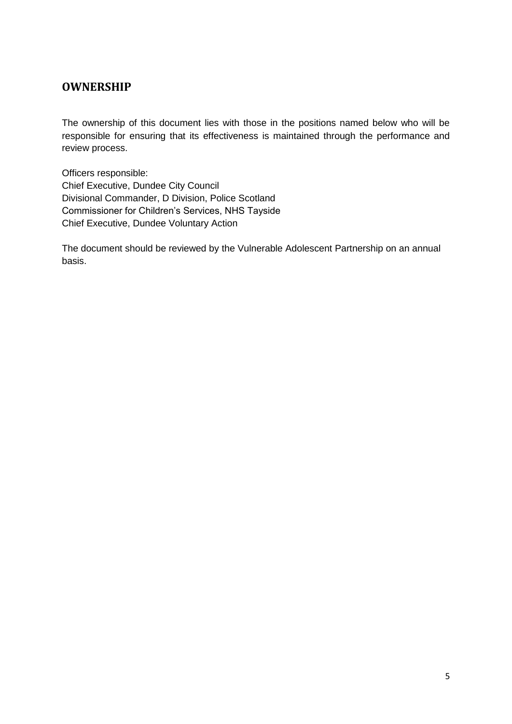## <span id="page-5-0"></span>**OWNERSHIP**

The ownership of this document lies with those in the positions named below who will be responsible for ensuring that its effectiveness is maintained through the performance and review process.

Officers responsible: Chief Executive, Dundee City Council Divisional Commander, D Division, Police Scotland Commissioner for Children's Services, NHS Tayside Chief Executive, Dundee Voluntary Action

The document should be reviewed by the Vulnerable Adolescent Partnership on an annual basis.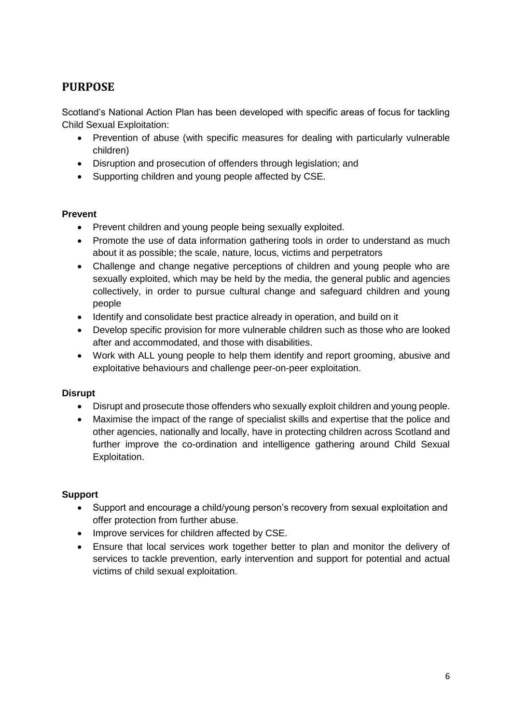# <span id="page-6-0"></span>**PURPOSE**

Scotland's National Action Plan has been developed with specific areas of focus for tackling Child Sexual Exploitation:

- Prevention of abuse (with specific measures for dealing with particularly vulnerable children)
- Disruption and prosecution of offenders through legislation; and
- Supporting children and young people affected by CSE.

## **Prevent**

- Prevent children and young people being sexually exploited.
- Promote the use of data information gathering tools in order to understand as much about it as possible; the scale, nature, locus, victims and perpetrators
- Challenge and change negative perceptions of children and young people who are sexually exploited, which may be held by the media, the general public and agencies collectively, in order to pursue cultural change and safeguard children and young people
- Identify and consolidate best practice already in operation, and build on it
- Develop specific provision for more vulnerable children such as those who are looked after and accommodated, and those with disabilities.
- Work with ALL young people to help them identify and report grooming, abusive and exploitative behaviours and challenge peer-on-peer exploitation.

## **Disrupt**

- Disrupt and prosecute those offenders who sexually exploit children and young people.
- Maximise the impact of the range of specialist skills and expertise that the police and other agencies, nationally and locally, have in protecting children across Scotland and further improve the co-ordination and intelligence gathering around Child Sexual Exploitation.

## **Support**

- Support and encourage a child/young person's recovery from sexual exploitation and offer protection from further abuse.
- Improve services for children affected by CSE.
- Ensure that local services work together better to plan and monitor the delivery of services to tackle prevention, early intervention and support for potential and actual victims of child sexual exploitation.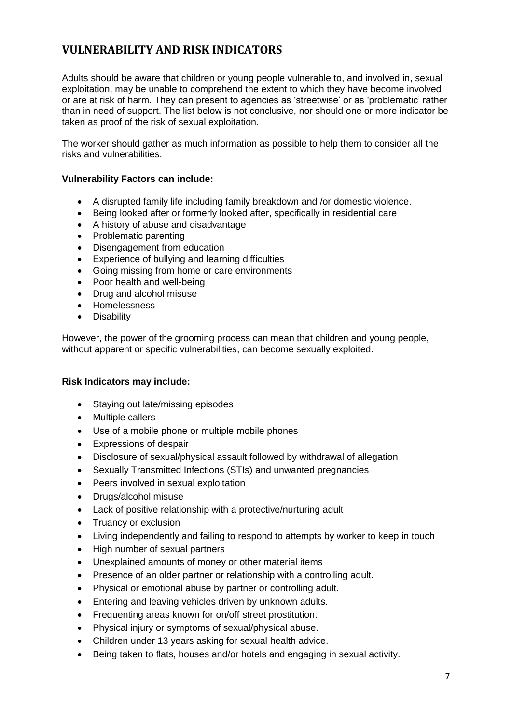# <span id="page-7-0"></span>**VULNERABILITY AND RISK INDICATORS**

Adults should be aware that children or young people vulnerable to, and involved in, sexual exploitation, may be unable to comprehend the extent to which they have become involved or are at risk of harm. They can present to agencies as 'streetwise' or as 'problematic' rather than in need of support. The list below is not conclusive, nor should one or more indicator be taken as proof of the risk of sexual exploitation.

The worker should gather as much information as possible to help them to consider all the risks and vulnerabilities.

#### **Vulnerability Factors can include:**

- A disrupted family life including family breakdown and /or domestic violence.
- Being looked after or formerly looked after, specifically in residential care
- A history of abuse and disadvantage
- Problematic parenting
- Disengagement from education
- Experience of bullying and learning difficulties
- Going missing from home or care environments
- Poor health and well-being
- Drug and alcohol misuse
- Homelessness
- **Disability**

However, the power of the grooming process can mean that children and young people, without apparent or specific vulnerabilities, can become sexually exploited.

#### **Risk Indicators may include:**

- Staving out late/missing episodes
- Multiple callers
- Use of a mobile phone or multiple mobile phones
- Expressions of despair
- Disclosure of sexual/physical assault followed by withdrawal of allegation
- Sexually Transmitted Infections (STIs) and unwanted pregnancies
- Peers involved in sexual exploitation
- Drugs/alcohol misuse
- Lack of positive relationship with a protective/nurturing adult
- Truancy or exclusion
- Living independently and failing to respond to attempts by worker to keep in touch
- High number of sexual partners
- Unexplained amounts of money or other material items
- Presence of an older partner or relationship with a controlling adult.
- Physical or emotional abuse by partner or controlling adult.
- Entering and leaving vehicles driven by unknown adults.
- Frequenting areas known for on/off street prostitution.
- Physical injury or symptoms of sexual/physical abuse.
- Children under 13 years asking for sexual health advice.
- Being taken to flats, houses and/or hotels and engaging in sexual activity.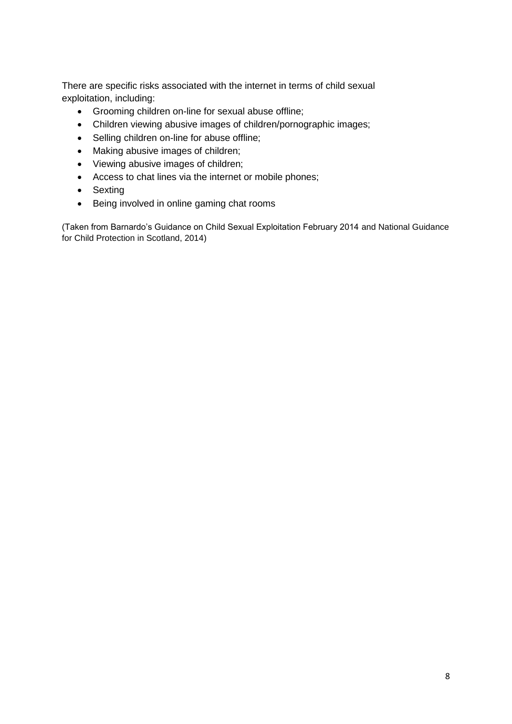There are specific risks associated with the internet in terms of child sexual exploitation, including:

- Grooming children on-line for sexual abuse offline;
- Children viewing abusive images of children/pornographic images;
- Selling children on-line for abuse offline;
- Making abusive images of children;
- Viewing abusive images of children;
- Access to chat lines via the internet or mobile phones;
- Sexting
- Being involved in online gaming chat rooms

(Taken from Barnardo's Guidance on Child Sexual Exploitation February 2014 and National Guidance for Child Protection in Scotland, 2014)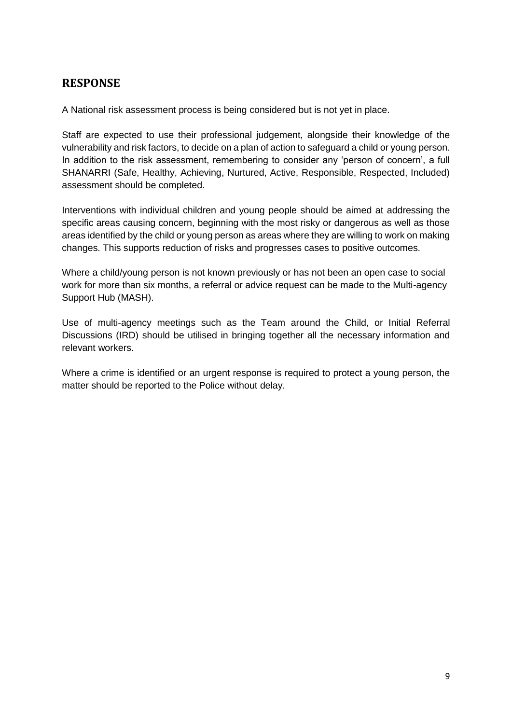## <span id="page-9-0"></span>**RESPONSE**

A National risk assessment process is being considered but is not yet in place.

Staff are expected to use their professional judgement, alongside their knowledge of the vulnerability and risk factors, to decide on a plan of action to safeguard a child or young person. In addition to the risk assessment, remembering to consider any 'person of concern', a full SHANARRI (Safe, Healthy, Achieving, Nurtured, Active, Responsible, Respected, Included) assessment should be completed.

Interventions with individual children and young people should be aimed at addressing the specific areas causing concern, beginning with the most risky or dangerous as well as those areas identified by the child or young person as areas where they are willing to work on making changes. This supports reduction of risks and progresses cases to positive outcomes.

Where a child/young person is not known previously or has not been an open case to social work for more than six months, a referral or advice request can be made to the Multi-agency Support Hub (MASH).

Use of multi-agency meetings such as the Team around the Child, or Initial Referral Discussions (IRD) should be utilised in bringing together all the necessary information and relevant workers.

Where a crime is identified or an urgent response is required to protect a young person, the matter should be reported to the Police without delay.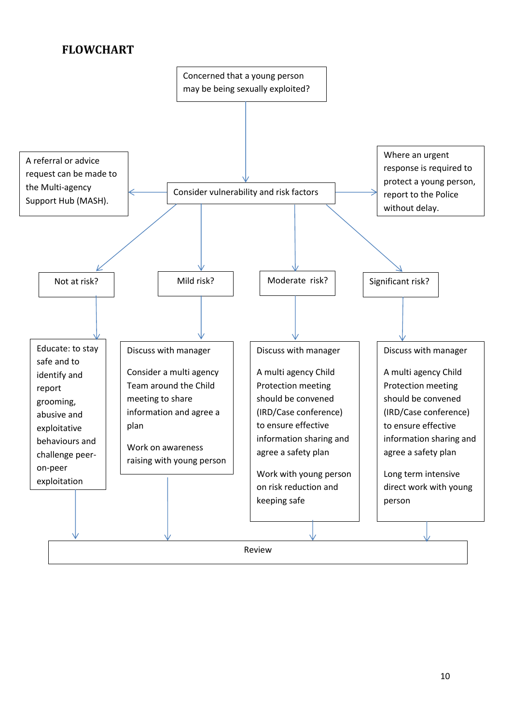# <span id="page-10-0"></span>**FLOWCHART**

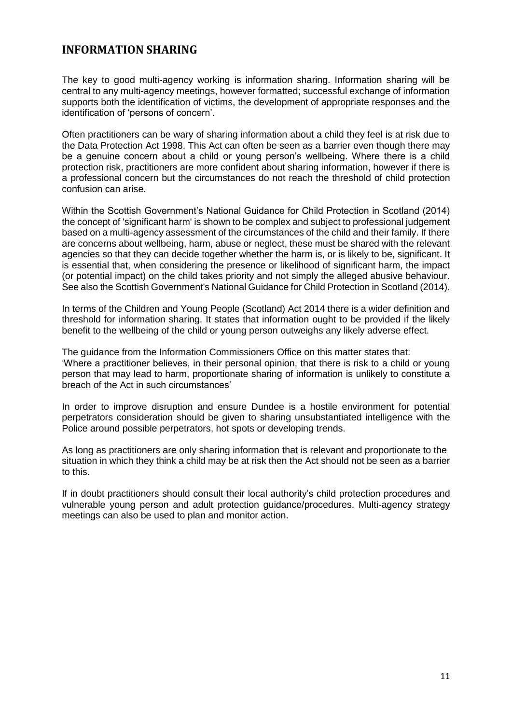## <span id="page-11-0"></span>**INFORMATION SHARING**

The key to good multi-agency working is information sharing. Information sharing will be central to any multi-agency meetings, however formatted; successful exchange of information supports both the identification of victims, the development of appropriate responses and the identification of 'persons of concern'.

Often practitioners can be wary of sharing information about a child they feel is at risk due to the Data Protection Act 1998. This Act can often be seen as a barrier even though there may be a genuine concern about a child or young person's wellbeing. Where there is a child protection risk, practitioners are more confident about sharing information, however if there is a professional concern but the circumstances do not reach the threshold of child protection confusion can arise.

Within the Scottish Government's National Guidance for Child Protection in Scotland (2014) the concept of 'significant harm' is shown to be complex and subject to professional judgement based on a multi-agency assessment of the circumstances of the child and their family. If there are concerns about wellbeing, harm, abuse or neglect, these must be shared with the relevant agencies so that they can decide together whether the harm is, or is likely to be, significant. It is essential that, when considering the presence or likelihood of significant harm, the impact (or potential impact) on the child takes priority and not simply the alleged abusive behaviour. See also the Scottish Government's National Guidance for Child Protection in Scotland (2014).

In terms of the Children and Young People (Scotland) Act 2014 there is a wider definition and threshold for information sharing. It states that information ought to be provided if the likely benefit to the wellbeing of the child or young person outweighs any likely adverse effect.

The guidance from the Information Commissioners Office on this matter states that: 'Where a practitioner believes, in their personal opinion, that there is risk to a child or young person that may lead to harm, proportionate sharing of information is unlikely to constitute a breach of the Act in such circumstances'

In order to improve disruption and ensure Dundee is a hostile environment for potential perpetrators consideration should be given to sharing unsubstantiated intelligence with the Police around possible perpetrators, hot spots or developing trends.

As long as practitioners are only sharing information that is relevant and proportionate to the situation in which they think a child may be at risk then the Act should not be seen as a barrier to this.

If in doubt practitioners should consult their local authority's child protection procedures and vulnerable young person and adult protection guidance/procedures. Multi-agency strategy meetings can also be used to plan and monitor action.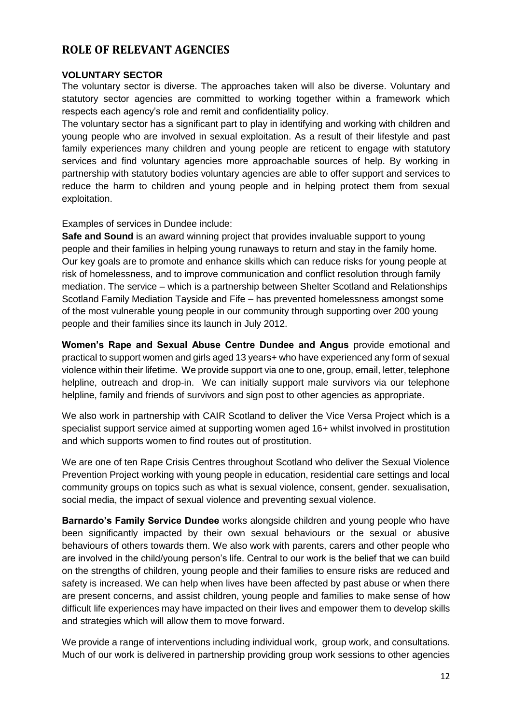## <span id="page-12-0"></span>**ROLE OF RELEVANT AGENCIES**

#### **VOLUNTARY SECTOR**

The voluntary sector is diverse. The approaches taken will also be diverse. Voluntary and statutory sector agencies are committed to working together within a framework which respects each agency's role and remit and confidentiality policy.

The voluntary sector has a significant part to play in identifying and working with children and young people who are involved in sexual exploitation. As a result of their lifestyle and past family experiences many children and young people are reticent to engage with statutory services and find voluntary agencies more approachable sources of help. By working in partnership with statutory bodies voluntary agencies are able to offer support and services to reduce the harm to children and young people and in helping protect them from sexual exploitation.

Examples of services in Dundee include:

**Safe and Sound** is an award winning project that provides invaluable support to young people and their families in helping young runaways to return and stay in the family home. Our key goals are to promote and enhance skills which can reduce risks for young people at risk of homelessness, and to improve communication and conflict resolution through family mediation. The service – which is a partnership between Shelter Scotland and Relationships Scotland Family Mediation Tayside and Fife – has prevented homelessness amongst some of the most vulnerable young people in our community through supporting over 200 young people and their families since its launch in July 2012.

**Women's Rape and Sexual Abuse Centre Dundee and Angus** provide emotional and practical to support women and girls aged 13 years+ who have experienced any form of sexual violence within their lifetime. We provide support via one to one, group, email, letter, telephone helpline, outreach and drop-in. We can initially support male survivors via our telephone helpline, family and friends of survivors and sign post to other agencies as appropriate.

We also work in partnership with CAIR Scotland to deliver the Vice Versa Project which is a specialist support service aimed at supporting women aged 16+ whilst involved in prostitution and which supports women to find routes out of prostitution.

We are one of ten Rape Crisis Centres throughout Scotland who deliver the Sexual Violence Prevention Project working with young people in education, residential care settings and local community groups on topics such as what is sexual violence, consent, gender. sexualisation, social media, the impact of sexual violence and preventing sexual violence.

**Barnardo's Family Service Dundee** works alongside children and young people who have been significantly impacted by their own sexual behaviours or the sexual or abusive behaviours of others towards them. We also work with parents, carers and other people who are involved in the child/young person's life. Central to our work is the belief that we can build on the strengths of children, young people and their families to ensure risks are reduced and safety is increased. We can help when lives have been affected by past abuse or when there are present concerns, and assist children, young people and families to make sense of how difficult life experiences may have impacted on their lives and empower them to develop skills and strategies which will allow them to move forward.

We provide a range of interventions including individual work, group work, and consultations. Much of our work is delivered in partnership providing group work sessions to other agencies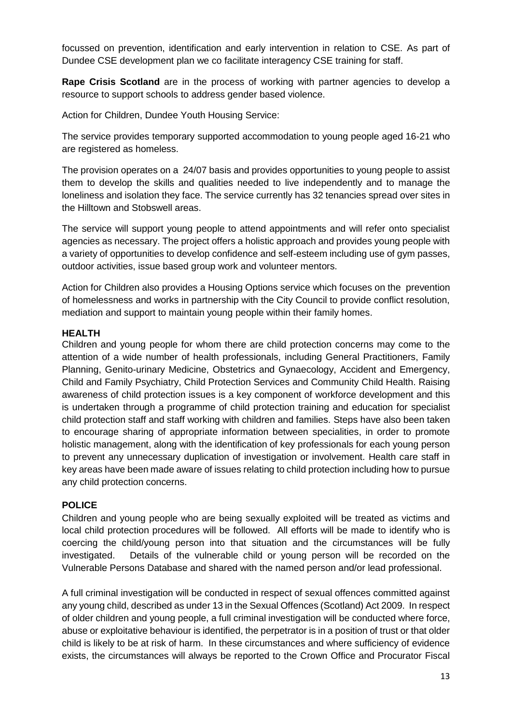focussed on prevention, identification and early intervention in relation to CSE. As part of Dundee CSE development plan we co facilitate interagency CSE training for staff.

**Rape Crisis Scotland** are in the process of working with partner agencies to develop a resource to support schools to address gender based violence.

Action for Children, Dundee Youth Housing Service:

The service provides temporary supported accommodation to young people aged 16-21 who are registered as homeless.

The provision operates on a 24/07 basis and provides opportunities to young people to assist them to develop the skills and qualities needed to live independently and to manage the loneliness and isolation they face. The service currently has 32 tenancies spread over sites in the Hilltown and Stobswell areas.

The service will support young people to attend appointments and will refer onto specialist agencies as necessary. The project offers a holistic approach and provides young people with a variety of opportunities to develop confidence and self-esteem including use of gym passes, outdoor activities, issue based group work and volunteer mentors.

Action for Children also provides a Housing Options service which focuses on the prevention of homelessness and works in partnership with the City Council to provide conflict resolution, mediation and support to maintain young people within their family homes.

#### **HEALTH**

Children and young people for whom there are child protection concerns may come to the attention of a wide number of health professionals, including General Practitioners, Family Planning, Genito-urinary Medicine, Obstetrics and Gynaecology, Accident and Emergency, Child and Family Psychiatry, Child Protection Services and Community Child Health. Raising awareness of child protection issues is a key component of workforce development and this is undertaken through a programme of child protection training and education for specialist child protection staff and staff working with children and families. Steps have also been taken to encourage sharing of appropriate information between specialities, in order to promote holistic management, along with the identification of key professionals for each young person to prevent any unnecessary duplication of investigation or involvement. Health care staff in key areas have been made aware of issues relating to child protection including how to pursue any child protection concerns.

## **POLICE**

Children and young people who are being sexually exploited will be treated as victims and local child protection procedures will be followed. All efforts will be made to identify who is coercing the child/young person into that situation and the circumstances will be fully investigated. Details of the vulnerable child or young person will be recorded on the Vulnerable Persons Database and shared with the named person and/or lead professional.

A full criminal investigation will be conducted in respect of sexual offences committed against any young child, described as under 13 in the Sexual Offences (Scotland) Act 2009. In respect of older children and young people, a full criminal investigation will be conducted where force, abuse or exploitative behaviour is identified, the perpetrator is in a position of trust or that older child is likely to be at risk of harm. In these circumstances and where sufficiency of evidence exists, the circumstances will always be reported to the Crown Office and Procurator Fiscal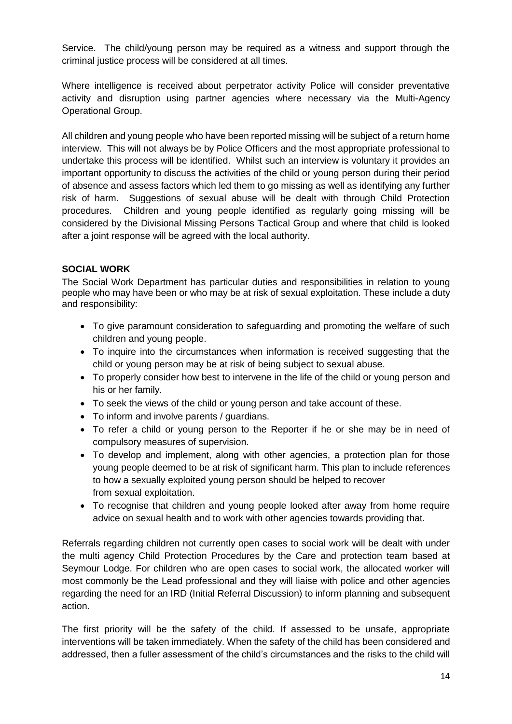Service. The child/young person may be required as a witness and support through the criminal justice process will be considered at all times.

Where intelligence is received about perpetrator activity Police will consider preventative activity and disruption using partner agencies where necessary via the Multi-Agency Operational Group.

All children and young people who have been reported missing will be subject of a return home interview. This will not always be by Police Officers and the most appropriate professional to undertake this process will be identified. Whilst such an interview is voluntary it provides an important opportunity to discuss the activities of the child or young person during their period of absence and assess factors which led them to go missing as well as identifying any further risk of harm. Suggestions of sexual abuse will be dealt with through Child Protection procedures. Children and young people identified as regularly going missing will be considered by the Divisional Missing Persons Tactical Group and where that child is looked after a joint response will be agreed with the local authority.

## **SOCIAL WORK**

The Social Work Department has particular duties and responsibilities in relation to young people who may have been or who may be at risk of sexual exploitation. These include a duty and responsibility:

- To give paramount consideration to safeguarding and promoting the welfare of such children and young people.
- To inquire into the circumstances when information is received suggesting that the child or young person may be at risk of being subject to sexual abuse.
- To properly consider how best to intervene in the life of the child or young person and his or her family.
- To seek the views of the child or young person and take account of these.
- To inform and involve parents / guardians.
- To refer a child or young person to the Reporter if he or she may be in need of compulsory measures of supervision.
- To develop and implement, along with other agencies, a protection plan for those young people deemed to be at risk of significant harm. This plan to include references to how a sexually exploited young person should be helped to recover from sexual exploitation.
- To recognise that children and young people looked after away from home require advice on sexual health and to work with other agencies towards providing that.

Referrals regarding children not currently open cases to social work will be dealt with under the multi agency Child Protection Procedures by the Care and protection team based at Seymour Lodge. For children who are open cases to social work, the allocated worker will most commonly be the Lead professional and they will liaise with police and other agencies regarding the need for an IRD (Initial Referral Discussion) to inform planning and subsequent action.

The first priority will be the safety of the child. If assessed to be unsafe, appropriate interventions will be taken immediately. When the safety of the child has been considered and addressed, then a fuller assessment of the child's circumstances and the risks to the child will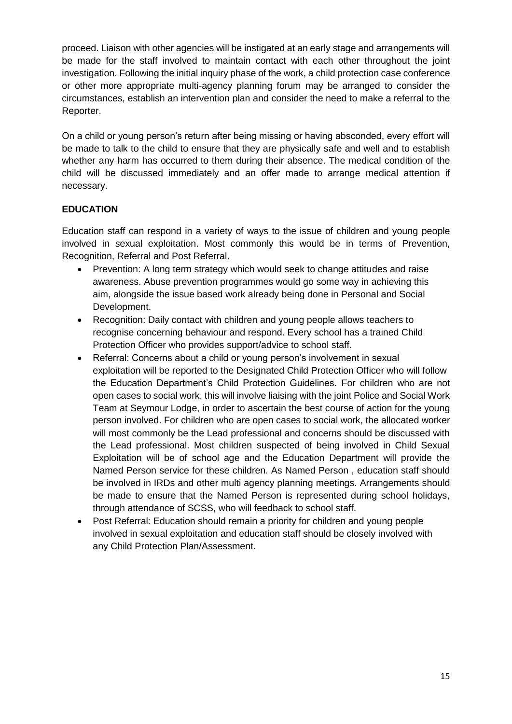proceed. Liaison with other agencies will be instigated at an early stage and arrangements will be made for the staff involved to maintain contact with each other throughout the joint investigation. Following the initial inquiry phase of the work, a child protection case conference or other more appropriate multi-agency planning forum may be arranged to consider the circumstances, establish an intervention plan and consider the need to make a referral to the Reporter.

On a child or young person's return after being missing or having absconded, every effort will be made to talk to the child to ensure that they are physically safe and well and to establish whether any harm has occurred to them during their absence. The medical condition of the child will be discussed immediately and an offer made to arrange medical attention if necessary.

## **EDUCATION**

Education staff can respond in a variety of ways to the issue of children and young people involved in sexual exploitation. Most commonly this would be in terms of Prevention, Recognition, Referral and Post Referral.

- Prevention: A long term strategy which would seek to change attitudes and raise awareness. Abuse prevention programmes would go some way in achieving this aim, alongside the issue based work already being done in Personal and Social Development.
- Recognition: Daily contact with children and young people allows teachers to recognise concerning behaviour and respond. Every school has a trained Child Protection Officer who provides support/advice to school staff.
- Referral: Concerns about a child or young person's involvement in sexual exploitation will be reported to the Designated Child Protection Officer who will follow the Education Department's Child Protection Guidelines. For children who are not open cases to social work, this will involve liaising with the joint Police and Social Work Team at Seymour Lodge, in order to ascertain the best course of action for the young person involved. For children who are open cases to social work, the allocated worker will most commonly be the Lead professional and concerns should be discussed with the Lead professional. Most children suspected of being involved in Child Sexual Exploitation will be of school age and the Education Department will provide the Named Person service for these children. As Named Person , education staff should be involved in IRDs and other multi agency planning meetings. Arrangements should be made to ensure that the Named Person is represented during school holidays, through attendance of SCSS, who will feedback to school staff.
- Post Referral: Education should remain a priority for children and young people involved in sexual exploitation and education staff should be closely involved with any Child Protection Plan/Assessment.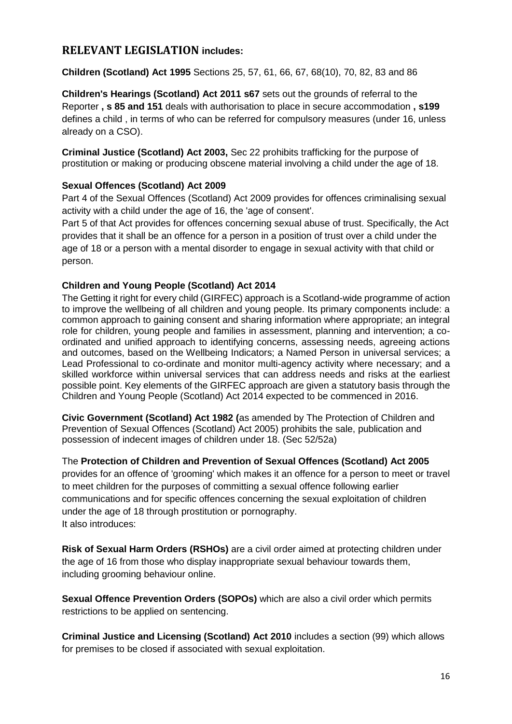## <span id="page-16-0"></span>**RELEVANT LEGISLATION includes:**

**Children (Scotland) Act 1995** Sections 25, 57, 61, 66, 67, 68(10), 70, 82, 83 and 86

**Children's Hearings (Scotland) Act 2011 s67** sets out the grounds of referral to the Reporter **, s 85 and 151** deals with authorisation to place in secure accommodation **, s199**  defines a child , in terms of who can be referred for compulsory measures (under 16, unless already on a CSO).

**Criminal Justice (Scotland) Act 2003,** Sec 22 prohibits trafficking for the purpose of prostitution or making or producing obscene material involving a child under the age of 18.

#### **Sexual Offences (Scotland) Act 2009**

Part 4 of the Sexual Offences (Scotland) Act 2009 provides for offences criminalising sexual activity with a child under the age of 16, the 'age of consent'.

Part 5 of that Act provides for offences concerning sexual abuse of trust. Specifically, the Act provides that it shall be an offence for a person in a position of trust over a child under the age of 18 or a person with a mental disorder to engage in sexual activity with that child or person.

## **Children and Young People (Scotland) Act 2014**

The Getting it right for every child (GIRFEC) approach is a Scotland-wide programme of action to improve the wellbeing of all children and young people. Its primary components include: a common approach to gaining consent and sharing information where appropriate; an integral role for children, young people and families in assessment, planning and intervention; a coordinated and unified approach to identifying concerns, assessing needs, agreeing actions and outcomes, based on the Wellbeing Indicators; a Named Person in universal services; a Lead Professional to co-ordinate and monitor multi-agency activity where necessary; and a skilled workforce within universal services that can address needs and risks at the earliest possible point. Key elements of the GIRFEC approach are given a statutory basis through the Children and Young People (Scotland) Act 2014 expected to be commenced in 2016.

**Civic Government (Scotland) Act 1982 (**as amended by The Protection of Children and Prevention of Sexual Offences (Scotland) Act 2005) prohibits the sale, publication and possession of indecent images of children under 18. (Sec 52/52a)

The **Protection of Children and Prevention of Sexual Offences (Scotland) Act 2005** provides for an offence of 'grooming' which makes it an offence for a person to meet or travel to meet children for the purposes of committing a sexual offence following earlier communications and for specific offences concerning the sexual exploitation of children under the age of 18 through prostitution or pornography. It also introduces:

**Risk of Sexual Harm Orders (RSHOs)** are a civil order aimed at protecting children under the age of 16 from those who display inappropriate sexual behaviour towards them, including grooming behaviour online.

**Sexual Offence Prevention Orders (SOPOs)** which are also a civil order which permits restrictions to be applied on sentencing.

**Criminal Justice and Licensing (Scotland) Act 2010** includes a section (99) which allows for premises to be closed if associated with sexual exploitation.